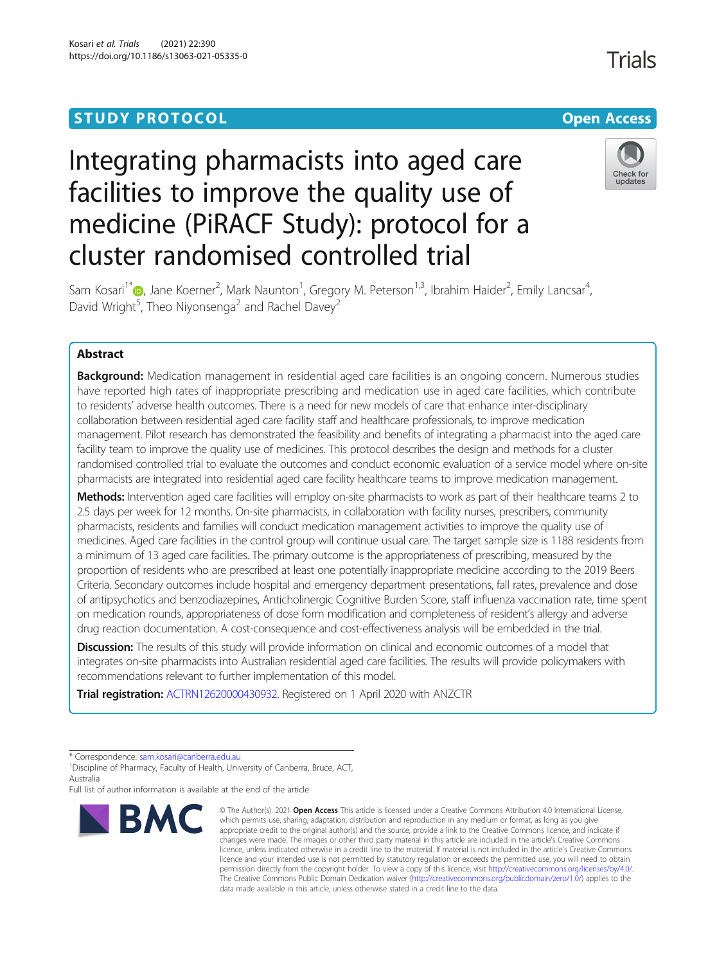# **STUDY PROTOCOL CONSUMING THE RESERVE ACCESS**

# Integrating pharmacists into aged care facilities to improve the quality use of medicine (PiRACF Study): protocol for a cluster randomised controlled trial



**Trials** 

Sam Kosari<sup>1\*</sup>�[,](http://orcid.org/0000-0002-6737-1442) Jane Koerner<sup>2</sup>, Mark Naunton<sup>1</sup>, Gregory M. Peterson<sup>1,3</sup>, Ibrahim Haider<sup>2</sup>, Emily Lancsar<sup>4</sup> , David Wright<sup>5</sup>, Theo Niyonsenga<sup>2</sup> and Rachel Davey<sup>2</sup>

# Abstract

**Background:** Medication management in residential aged care facilities is an ongoing concern. Numerous studies have reported high rates of inappropriate prescribing and medication use in aged care facilities, which contribute to residents' adverse health outcomes. There is a need for new models of care that enhance inter-disciplinary collaboration between residential aged care facility staff and healthcare professionals, to improve medication management. Pilot research has demonstrated the feasibility and benefits of integrating a pharmacist into the aged care facility team to improve the quality use of medicines. This protocol describes the design and methods for a cluster randomised controlled trial to evaluate the outcomes and conduct economic evaluation of a service model where on-site pharmacists are integrated into residential aged care facility healthcare teams to improve medication management.

Methods: Intervention aged care facilities will employ on-site pharmacists to work as part of their healthcare teams 2 to 2.5 days per week for 12 months. On-site pharmacists, in collaboration with facility nurses, prescribers, community pharmacists, residents and families will conduct medication management activities to improve the quality use of medicines. Aged care facilities in the control group will continue usual care. The target sample size is 1188 residents from a minimum of 13 aged care facilities. The primary outcome is the appropriateness of prescribing, measured by the proportion of residents who are prescribed at least one potentially inappropriate medicine according to the 2019 Beers Criteria. Secondary outcomes include hospital and emergency department presentations, fall rates, prevalence and dose of antipsychotics and benzodiazepines, Anticholinergic Cognitive Burden Score, staff influenza vaccination rate, time spent on medication rounds, appropriateness of dose form modification and completeness of resident's allergy and adverse drug reaction documentation. A cost-consequence and cost-effectiveness analysis will be embedded in the trial.

**Discussion:** The results of this study will provide information on clinical and economic outcomes of a model that integrates on-site pharmacists into Australian residential aged care facilities. The results will provide policymakers with recommendations relevant to further implementation of this model.

Trial registration: [ACTRN12620000430932](https://www.anzctr.org.au/Trial/Registration/TrialReview.aspx?id=379337&isReview=true). Registered on 1 April 2020 with ANZCTR

Full list of author information is available at the end of the article



<sup>©</sup> The Author(s), 2021 **Open Access** This article is licensed under a Creative Commons Attribution 4.0 International License, which permits use, sharing, adaptation, distribution and reproduction in any medium or format, as long as you give appropriate credit to the original author(s) and the source, provide a link to the Creative Commons licence, and indicate if changes were made. The images or other third party material in this article are included in the article's Creative Commons licence, unless indicated otherwise in a credit line to the material. If material is not included in the article's Creative Commons licence and your intended use is not permitted by statutory regulation or exceeds the permitted use, you will need to obtain permission directly from the copyright holder. To view a copy of this licence, visit [http://creativecommons.org/licenses/by/4.0/.](http://creativecommons.org/licenses/by/4.0/) The Creative Commons Public Domain Dedication waiver [\(http://creativecommons.org/publicdomain/zero/1.0/](http://creativecommons.org/publicdomain/zero/1.0/)) applies to the data made available in this article, unless otherwise stated in a credit line to the data.

<sup>\*</sup> Correspondence: [sam.kosari@canberra.edu.au](mailto:sam.kosari@canberra.edu.au) <sup>1</sup>

<sup>&</sup>lt;sup>1</sup> Discipline of Pharmacy, Faculty of Health, University of Canberra, Bruce, ACT, Australia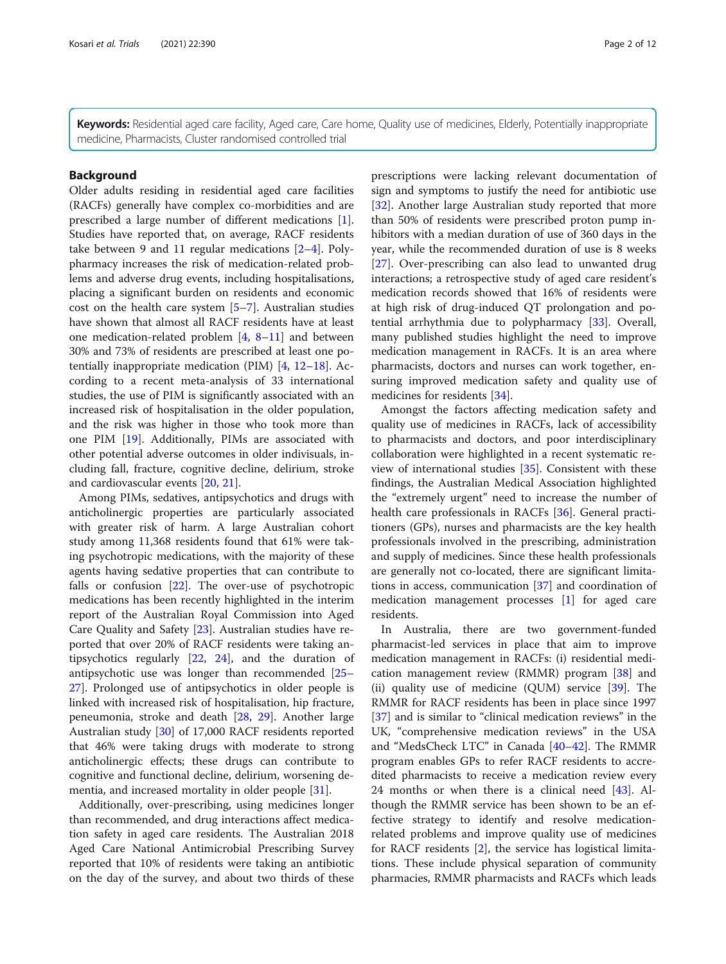Keywords: Residential aged care facility, Aged care, Care home, Quality use of medicines, Elderly, Potentially inappropriate medicine, Pharmacists, Cluster randomised controlled trial

### Background

Older adults residing in residential aged care facilities (RACFs) generally have complex co-morbidities and are prescribed a large number of different medications [\[1](#page-9-0)]. Studies have reported that, on average, RACF residents take between 9 and 11 regular medications [[2](#page-9-0)–[4](#page-9-0)]. Polypharmacy increases the risk of medication-related problems and adverse drug events, including hospitalisations, placing a significant burden on residents and economic cost on the health care system  $[5-7]$  $[5-7]$  $[5-7]$  $[5-7]$  $[5-7]$ . Australian studies have shown that almost all RACF residents have at least one medication-related problem [\[4](#page-9-0), [8](#page-9-0)–[11](#page-9-0)] and between 30% and 73% of residents are prescribed at least one potentially inappropriate medication (PIM) [[4,](#page-9-0) [12](#page-9-0)–[18\]](#page-10-0). According to a recent meta-analysis of 33 international studies, the use of PIM is significantly associated with an increased risk of hospitalisation in the older population, and the risk was higher in those who took more than one PIM [\[19](#page-10-0)]. Additionally, PIMs are associated with other potential adverse outcomes in older indivisuals, including fall, fracture, cognitive decline, delirium, stroke and cardiovascular events [[20,](#page-10-0) [21](#page-10-0)].

Among PIMs, sedatives, antipsychotics and drugs with anticholinergic properties are particularly associated with greater risk of harm. A large Australian cohort study among 11,368 residents found that 61% were taking psychotropic medications, with the majority of these agents having sedative properties that can contribute to falls or confusion [[22](#page-10-0)]. The over-use of psychotropic medications has been recently highlighted in the interim report of the Australian Royal Commission into Aged Care Quality and Safety [[23](#page-10-0)]. Australian studies have reported that over 20% of RACF residents were taking antipsychotics regularly [\[22](#page-10-0), [24](#page-10-0)], and the duration of antipsychotic use was longer than recommended [[25](#page-10-0)– [27\]](#page-10-0). Prolonged use of antipsychotics in older people is linked with increased risk of hospitalisation, hip fracture, peneumonia, stroke and death [[28,](#page-10-0) [29\]](#page-10-0). Another large Australian study [[30](#page-10-0)] of 17,000 RACF residents reported that 46% were taking drugs with moderate to strong anticholinergic effects; these drugs can contribute to cognitive and functional decline, delirium, worsening dementia, and increased mortality in older people [\[31\]](#page-10-0).

Additionally, over-prescribing, using medicines longer than recommended, and drug interactions affect medication safety in aged care residents. The Australian 2018 Aged Care National Antimicrobial Prescribing Survey reported that 10% of residents were taking an antibiotic on the day of the survey, and about two thirds of these prescriptions were lacking relevant documentation of sign and symptoms to justify the need for antibiotic use [[32\]](#page-10-0). Another large Australian study reported that more than 50% of residents were prescribed proton pump inhibitors with a median duration of use of 360 days in the year, while the recommended duration of use is 8 weeks [[27\]](#page-10-0). Over-prescribing can also lead to unwanted drug interactions; a retrospective study of aged care resident's medication records showed that 16% of residents were at high risk of drug-induced QT prolongation and potential arrhythmia due to polypharmacy [\[33\]](#page-10-0). Overall, many published studies highlight the need to improve medication management in RACFs. It is an area where pharmacists, doctors and nurses can work together, ensuring improved medication safety and quality use of medicines for residents [[34\]](#page-10-0).

Amongst the factors affecting medication safety and quality use of medicines in RACFs, lack of accessibility to pharmacists and doctors, and poor interdisciplinary collaboration were highlighted in a recent systematic review of international studies [[35\]](#page-10-0). Consistent with these findings, the Australian Medical Association highlighted the "extremely urgent" need to increase the number of health care professionals in RACFs [\[36\]](#page-10-0). General practitioners (GPs), nurses and pharmacists are the key health professionals involved in the prescribing, administration and supply of medicines. Since these health professionals are generally not co-located, there are significant limitations in access, communication [[37](#page-10-0)] and coordination of medication management processes [[1\]](#page-9-0) for aged care residents.

In Australia, there are two government-funded pharmacist-led services in place that aim to improve medication management in RACFs: (i) residential medication management review (RMMR) program [\[38\]](#page-10-0) and (ii) quality use of medicine (QUM) service [[39\]](#page-10-0). The RMMR for RACF residents has been in place since 1997 [[37\]](#page-10-0) and is similar to "clinical medication reviews" in the UK, "comprehensive medication reviews" in the USA and "MedsCheck LTC" in Canada [[40](#page-10-0)–[42](#page-10-0)]. The RMMR program enables GPs to refer RACF residents to accredited pharmacists to receive a medication review every 24 months or when there is a clinical need [\[43](#page-10-0)]. Although the RMMR service has been shown to be an effective strategy to identify and resolve medicationrelated problems and improve quality use of medicines for RACF residents [\[2](#page-9-0)], the service has logistical limitations. These include physical separation of community pharmacies, RMMR pharmacists and RACFs which leads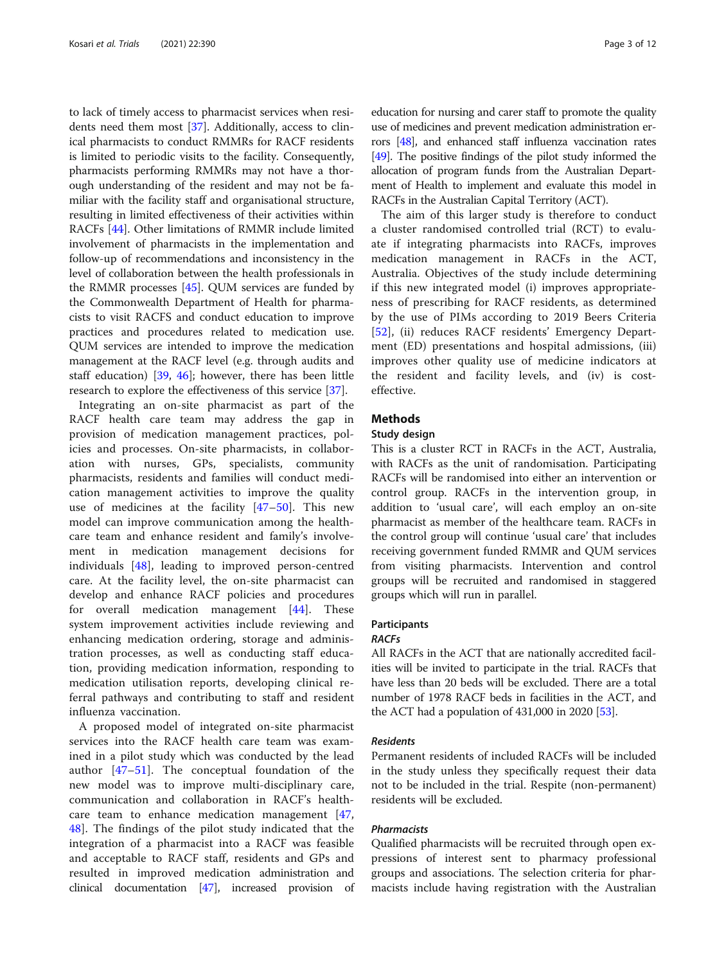to lack of timely access to pharmacist services when residents need them most [[37\]](#page-10-0). Additionally, access to clinical pharmacists to conduct RMMRs for RACF residents is limited to periodic visits to the facility. Consequently, pharmacists performing RMMRs may not have a thorough understanding of the resident and may not be familiar with the facility staff and organisational structure, resulting in limited effectiveness of their activities within RACFs [[44](#page-10-0)]. Other limitations of RMMR include limited involvement of pharmacists in the implementation and follow-up of recommendations and inconsistency in the level of collaboration between the health professionals in the RMMR processes [\[45\]](#page-10-0). QUM services are funded by the Commonwealth Department of Health for pharmacists to visit RACFS and conduct education to improve practices and procedures related to medication use. QUM services are intended to improve the medication management at the RACF level (e.g. through audits and staff education) [[39,](#page-10-0) [46\]](#page-10-0); however, there has been little research to explore the effectiveness of this service [\[37](#page-10-0)].

Integrating an on-site pharmacist as part of the RACF health care team may address the gap in provision of medication management practices, policies and processes. On-site pharmacists, in collaboration with nurses, GPs, specialists, community pharmacists, residents and families will conduct medication management activities to improve the quality use of medicines at the facility  $[47-50]$  $[47-50]$  $[47-50]$  $[47-50]$ . This new model can improve communication among the healthcare team and enhance resident and family's involvement in medication management decisions for individuals [[48\]](#page-10-0), leading to improved person-centred care. At the facility level, the on-site pharmacist can develop and enhance RACF policies and procedures for overall medication management [\[44](#page-10-0)]. These system improvement activities include reviewing and enhancing medication ordering, storage and administration processes, as well as conducting staff education, providing medication information, responding to medication utilisation reports, developing clinical referral pathways and contributing to staff and resident influenza vaccination.

A proposed model of integrated on-site pharmacist services into the RACF health care team was examined in a pilot study which was conducted by the lead author [[47](#page-10-0)–[51\]](#page-11-0). The conceptual foundation of the new model was to improve multi-disciplinary care, communication and collaboration in RACF's healthcare team to enhance medication management [\[47](#page-10-0), [48\]](#page-10-0). The findings of the pilot study indicated that the integration of a pharmacist into a RACF was feasible and acceptable to RACF staff, residents and GPs and resulted in improved medication administration and clinical documentation [\[47\]](#page-10-0), increased provision of education for nursing and carer staff to promote the quality use of medicines and prevent medication administration errors [\[48\]](#page-10-0), and enhanced staff influenza vaccination rates [[49](#page-10-0)]. The positive findings of the pilot study informed the allocation of program funds from the Australian Department of Health to implement and evaluate this model in RACFs in the Australian Capital Territory (ACT).

The aim of this larger study is therefore to conduct a cluster randomised controlled trial (RCT) to evaluate if integrating pharmacists into RACFs, improves medication management in RACFs in the ACT, Australia. Objectives of the study include determining if this new integrated model (i) improves appropriateness of prescribing for RACF residents, as determined by the use of PIMs according to 2019 Beers Criteria [[52\]](#page-11-0), (ii) reduces RACF residents' Emergency Department (ED) presentations and hospital admissions, (iii) improves other quality use of medicine indicators at the resident and facility levels, and (iv) is costeffective.

# **Methods**

## Study design

This is a cluster RCT in RACFs in the ACT, Australia, with RACFs as the unit of randomisation. Participating RACFs will be randomised into either an intervention or control group. RACFs in the intervention group, in addition to 'usual care', will each employ an on-site pharmacist as member of the healthcare team. RACFs in the control group will continue 'usual care' that includes receiving government funded RMMR and QUM services from visiting pharmacists. Intervention and control groups will be recruited and randomised in staggered groups which will run in parallel.

# Participants

#### RACFs

All RACFs in the ACT that are nationally accredited facilities will be invited to participate in the trial. RACFs that have less than 20 beds will be excluded. There are a total number of 1978 RACF beds in facilities in the ACT, and the ACT had a population of  $431,000$  in 2020 [\[53\]](#page-11-0).

#### Residents

Permanent residents of included RACFs will be included in the study unless they specifically request their data not to be included in the trial. Respite (non-permanent) residents will be excluded.

# Pharmacists

Qualified pharmacists will be recruited through open expressions of interest sent to pharmacy professional groups and associations. The selection criteria for pharmacists include having registration with the Australian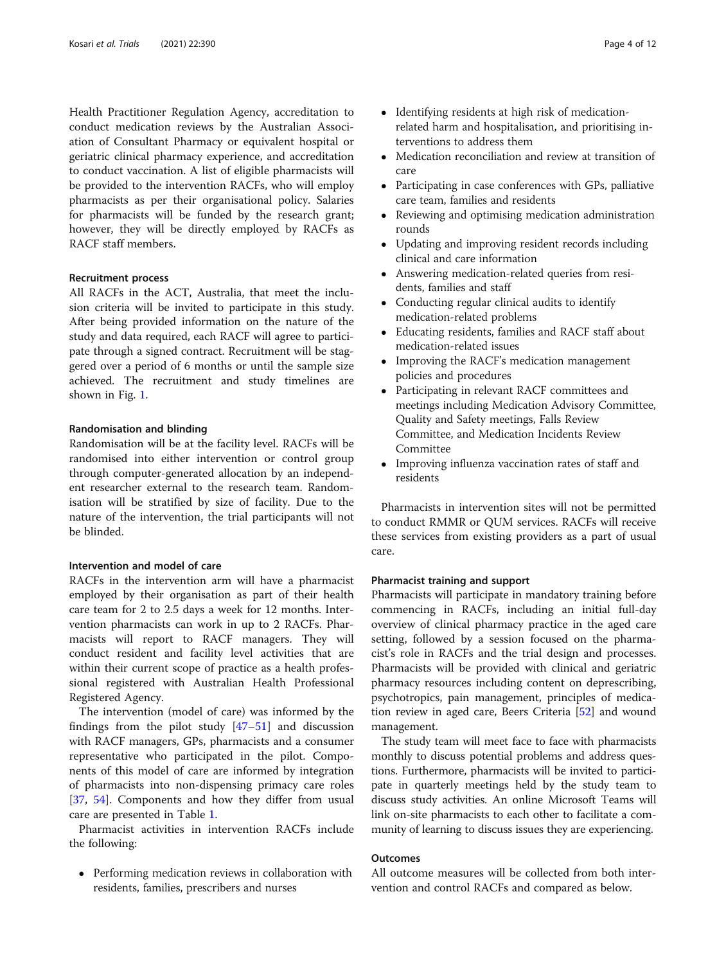Health Practitioner Regulation Agency, accreditation to conduct medication reviews by the Australian Association of Consultant Pharmacy or equivalent hospital or geriatric clinical pharmacy experience, and accreditation to conduct vaccination. A list of eligible pharmacists will be provided to the intervention RACFs, who will employ pharmacists as per their organisational policy. Salaries for pharmacists will be funded by the research grant; however, they will be directly employed by RACFs as RACF staff members.

#### Recruitment process

All RACFs in the ACT, Australia, that meet the inclusion criteria will be invited to participate in this study. After being provided information on the nature of the study and data required, each RACF will agree to participate through a signed contract. Recruitment will be staggered over a period of 6 months or until the sample size achieved. The recruitment and study timelines are shown in Fig. [1](#page-4-0).

### Randomisation and blinding

Randomisation will be at the facility level. RACFs will be randomised into either intervention or control group through computer-generated allocation by an independent researcher external to the research team. Randomisation will be stratified by size of facility. Due to the nature of the intervention, the trial participants will not be blinded.

# Intervention and model of care

RACFs in the intervention arm will have a pharmacist employed by their organisation as part of their health care team for 2 to 2.5 days a week for 12 months. Intervention pharmacists can work in up to 2 RACFs. Pharmacists will report to RACF managers. They will conduct resident and facility level activities that are within their current scope of practice as a health professional registered with Australian Health Professional Registered Agency.

The intervention (model of care) was informed by the findings from the pilot study [[47](#page-10-0)–[51](#page-11-0)] and discussion with RACF managers, GPs, pharmacists and a consumer representative who participated in the pilot. Components of this model of care are informed by integration of pharmacists into non-dispensing primacy care roles [[37,](#page-10-0) [54\]](#page-11-0). Components and how they differ from usual care are presented in Table [1](#page-5-0).

Pharmacist activities in intervention RACFs include the following:

• Performing medication reviews in collaboration with residents, families, prescribers and nurses

- Identifying residents at high risk of medicationrelated harm and hospitalisation, and prioritising interventions to address them
- Medication reconciliation and review at transition of care
- Participating in case conferences with GPs, palliative care team, families and residents
- Reviewing and optimising medication administration rounds
- Updating and improving resident records including clinical and care information
- Answering medication-related queries from residents, families and staff
- Conducting regular clinical audits to identify medication-related problems
- Educating residents, families and RACF staff about medication-related issues
- Improving the RACF's medication management policies and procedures
- Participating in relevant RACF committees and meetings including Medication Advisory Committee, Quality and Safety meetings, Falls Review Committee, and Medication Incidents Review Committee
- Improving influenza vaccination rates of staff and residents

Pharmacists in intervention sites will not be permitted to conduct RMMR or QUM services. RACFs will receive these services from existing providers as a part of usual care.

#### Pharmacist training and support

Pharmacists will participate in mandatory training before commencing in RACFs, including an initial full-day overview of clinical pharmacy practice in the aged care setting, followed by a session focused on the pharmacist's role in RACFs and the trial design and processes. Pharmacists will be provided with clinical and geriatric pharmacy resources including content on deprescribing, psychotropics, pain management, principles of medication review in aged care, Beers Criteria [\[52](#page-11-0)] and wound management.

The study team will meet face to face with pharmacists monthly to discuss potential problems and address questions. Furthermore, pharmacists will be invited to participate in quarterly meetings held by the study team to discuss study activities. An online Microsoft Teams will link on-site pharmacists to each other to facilitate a community of learning to discuss issues they are experiencing.

# **Outcomes**

All outcome measures will be collected from both intervention and control RACFs and compared as below.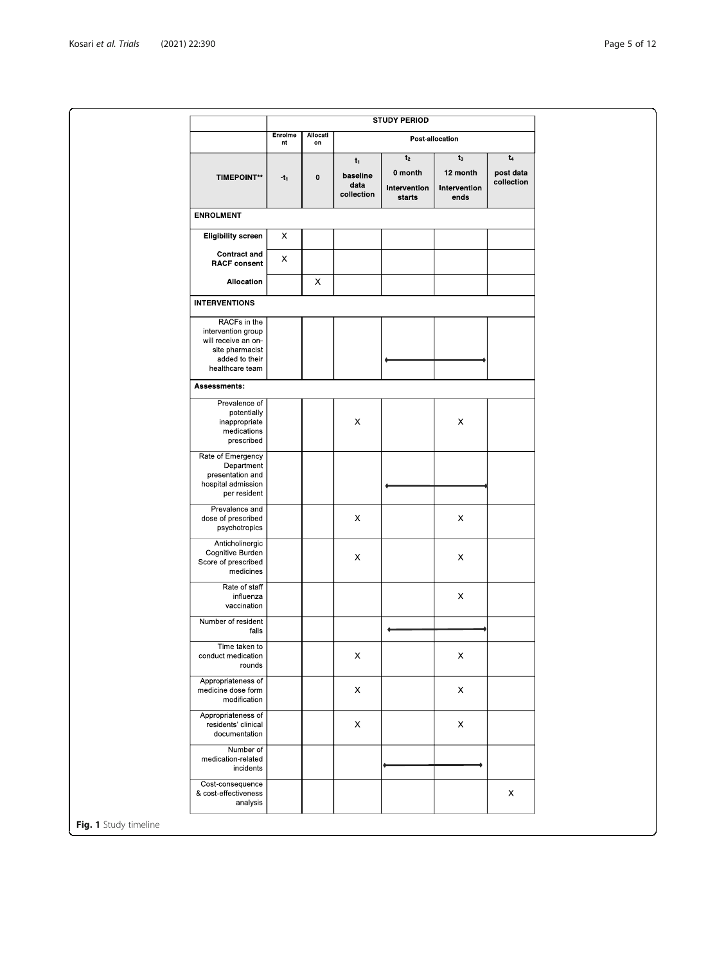<span id="page-4-0"></span>

|                                                                                                                   | <b>STUDY PERIOD</b> |                |                                         |                                                     |                                           |                                  |
|-------------------------------------------------------------------------------------------------------------------|---------------------|----------------|-----------------------------------------|-----------------------------------------------------|-------------------------------------------|----------------------------------|
|                                                                                                                   | Enrolme<br>nt       | Allocati<br>on | Post-allocation                         |                                                     |                                           |                                  |
| <b>TIMEPOINT**</b>                                                                                                | $-t_1$              | $\pmb{0}$      | $t_1$<br>baseline<br>data<br>collection | t <sub>2</sub><br>0 month<br>Intervention<br>starts | $t_3$<br>12 month<br>Intervention<br>ends | $t_4$<br>post data<br>collection |
| <b>ENROLMENT</b>                                                                                                  |                     |                |                                         |                                                     |                                           |                                  |
| <b>Eligibility screen</b>                                                                                         | X                   |                |                                         |                                                     |                                           |                                  |
| <b>Contract and</b><br><b>RACF consent</b>                                                                        | x                   |                |                                         |                                                     |                                           |                                  |
| Allocation                                                                                                        |                     | X              |                                         |                                                     |                                           |                                  |
| <b>INTERVENTIONS</b>                                                                                              |                     |                |                                         |                                                     |                                           |                                  |
| RACFs in the<br>intervention group<br>will receive an on-<br>site pharmacist<br>added to their<br>healthcare team |                     |                |                                         |                                                     |                                           |                                  |
| Assessments:                                                                                                      |                     |                |                                         |                                                     |                                           |                                  |
| Prevalence of<br>potentially<br>inappropriate<br>medications<br>prescribed                                        |                     |                | $\boldsymbol{\mathsf{X}}$               |                                                     | $\pmb{\times}$                            |                                  |
| Rate of Emergency<br>Department<br>presentation and<br>hospital admission<br>per resident                         |                     |                |                                         |                                                     |                                           |                                  |
| Prevalence and<br>dose of prescribed<br>psychotropics                                                             |                     |                | $\boldsymbol{\mathsf{X}}$               |                                                     | $\pmb{\times}$                            |                                  |
| Anticholinergic<br>Cognitive Burden<br>Score of prescribed<br>medicines                                           |                     |                | $\boldsymbol{\mathsf{X}}$               |                                                     | $\boldsymbol{\mathsf{X}}$                 |                                  |
| Rate of staff<br>influenza<br>vaccination                                                                         |                     |                |                                         |                                                     | X                                         |                                  |
| Number of resident<br>falls                                                                                       |                     |                |                                         |                                                     |                                           |                                  |
| Time taken to<br>conduct medication<br>rounds                                                                     |                     |                | $\boldsymbol{\mathsf{X}}$               |                                                     | $\mathsf X$                               |                                  |
| Appropriateness of<br>medicine dose form<br>modification                                                          |                     |                | $\boldsymbol{\mathsf{X}}$               |                                                     | $\boldsymbol{\mathsf{X}}$                 |                                  |
| Appropriateness of<br>residents' clinical<br>documentation                                                        |                     |                | $\boldsymbol{\mathsf{X}}$               |                                                     | X                                         |                                  |
| Number of<br>medication-related<br>incidents                                                                      |                     |                |                                         |                                                     |                                           |                                  |
| Cost-consequence<br>& cost-effectiveness<br>analysis                                                              |                     |                |                                         |                                                     |                                           | $\boldsymbol{\mathsf{X}}$        |
| Fig. 1 Study timeline                                                                                             |                     |                |                                         |                                                     |                                           |                                  |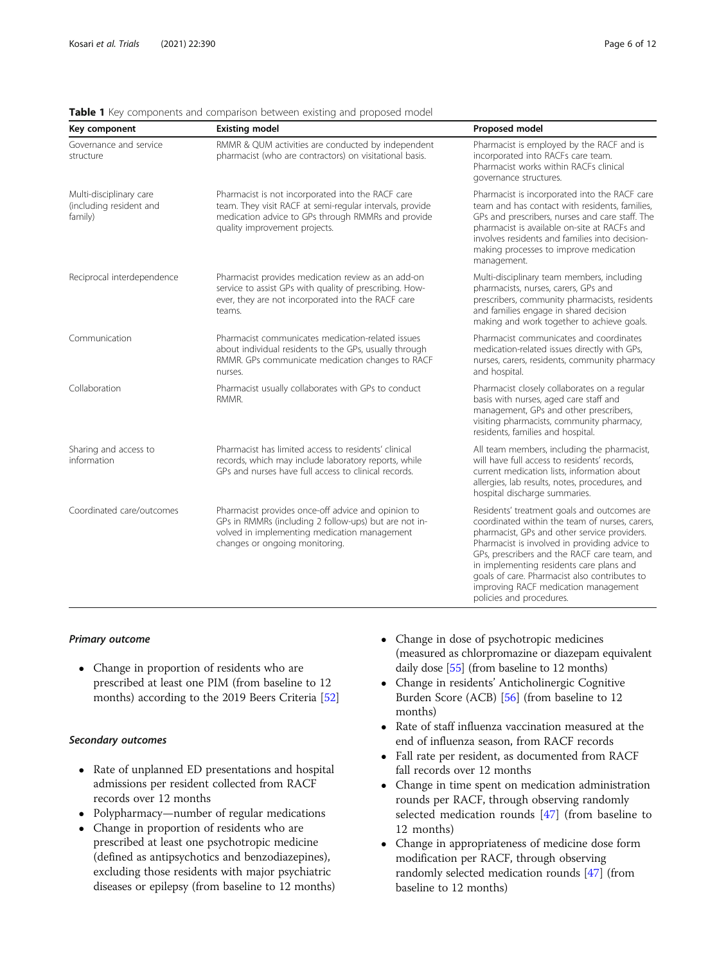| Key component                                                 | <b>Existing model</b>                                                                                                                                                                                | Proposed model                                                                                                                                                                                                                                                                                                                                                                                                  |
|---------------------------------------------------------------|------------------------------------------------------------------------------------------------------------------------------------------------------------------------------------------------------|-----------------------------------------------------------------------------------------------------------------------------------------------------------------------------------------------------------------------------------------------------------------------------------------------------------------------------------------------------------------------------------------------------------------|
| Governance and service<br>structure                           | RMMR & QUM activities are conducted by independent<br>pharmacist (who are contractors) on visitational basis.                                                                                        | Pharmacist is employed by the RACF and is<br>incorporated into RACFs care team.<br>Pharmacist works within RACFs clinical<br>governance structures.                                                                                                                                                                                                                                                             |
| Multi-disciplinary care<br>(including resident and<br>family) | Pharmacist is not incorporated into the RACF care<br>team. They visit RACF at semi-regular intervals, provide<br>medication advice to GPs through RMMRs and provide<br>quality improvement projects. | Pharmacist is incorporated into the RACF care<br>team and has contact with residents, families,<br>GPs and prescribers, nurses and care staff. The<br>pharmacist is available on-site at RACFs and<br>involves residents and families into decision-<br>making processes to improve medication<br>management.                                                                                                   |
| Reciprocal interdependence                                    | Pharmacist provides medication review as an add-on<br>service to assist GPs with quality of prescribing. How-<br>ever, they are not incorporated into the RACF care<br>teams.                        | Multi-disciplinary team members, including<br>pharmacists, nurses, carers, GPs and<br>prescribers, community pharmacists, residents<br>and families engage in shared decision<br>making and work together to achieve goals.                                                                                                                                                                                     |
| Communication                                                 | Pharmacist communicates medication-related issues<br>about individual residents to the GPs, usually through<br>RMMR. GPs communicate medication changes to RACF<br>nurses.                           | Pharmacist communicates and coordinates<br>medication-related issues directly with GPs,<br>nurses, carers, residents, community pharmacy<br>and hospital.                                                                                                                                                                                                                                                       |
| Collaboration                                                 | Pharmacist usually collaborates with GPs to conduct<br>RMMR.                                                                                                                                         | Pharmacist closely collaborates on a regular<br>basis with nurses, aged care staff and<br>management, GPs and other prescribers,<br>visiting pharmacists, community pharmacy,<br>residents, families and hospital.                                                                                                                                                                                              |
| Sharing and access to<br>information                          | Pharmacist has limited access to residents' clinical<br>records, which may include laboratory reports, while<br>GPs and nurses have full access to clinical records.                                 | All team members, including the pharmacist,<br>will have full access to residents' records,<br>current medication lists, information about<br>allergies, lab results, notes, procedures, and<br>hospital discharge summaries.                                                                                                                                                                                   |
| Coordinated care/outcomes                                     | Pharmacist provides once-off advice and opinion to<br>GPs in RMMRs (including 2 follow-ups) but are not in-<br>volved in implementing medication management<br>changes or ongoing monitoring.        | Residents' treatment goals and outcomes are<br>coordinated within the team of nurses, carers,<br>pharmacist, GPs and other service providers.<br>Pharmacist is involved in providing advice to<br>GPs, prescribers and the RACF care team, and<br>in implementing residents care plans and<br>goals of care. Pharmacist also contributes to<br>improving RACF medication management<br>policies and procedures. |

<span id="page-5-0"></span>Table 1 Key components and comparison between existing and proposed model

#### Primary outcome

 Change in proportion of residents who are prescribed at least one PIM (from baseline to 12 months) according to the 2019 Beers Criteria [[52\]](#page-11-0)

# Secondary outcomes

- Rate of unplanned ED presentations and hospital admissions per resident collected from RACF records over 12 months
- Polypharmacy—number of regular medications
- Change in proportion of residents who are prescribed at least one psychotropic medicine (defined as antipsychotics and benzodiazepines), excluding those residents with major psychiatric diseases or epilepsy (from baseline to 12 months)
- Change in dose of psychotropic medicines (measured as chlorpromazine or diazepam equivalent daily dose [\[55\]](#page-11-0) (from baseline to 12 months)
- Change in residents' Anticholinergic Cognitive Burden Score (ACB) [[56\]](#page-11-0) (from baseline to 12 months)
- Rate of staff influenza vaccination measured at the end of influenza season, from RACF records
- Fall rate per resident, as documented from RACF fall records over 12 months
- Change in time spent on medication administration rounds per RACF, through observing randomly selected medication rounds [\[47\]](#page-10-0) (from baseline to 12 months)
- Change in appropriateness of medicine dose form modification per RACF, through observing randomly selected medication rounds [\[47\]](#page-10-0) (from baseline to 12 months)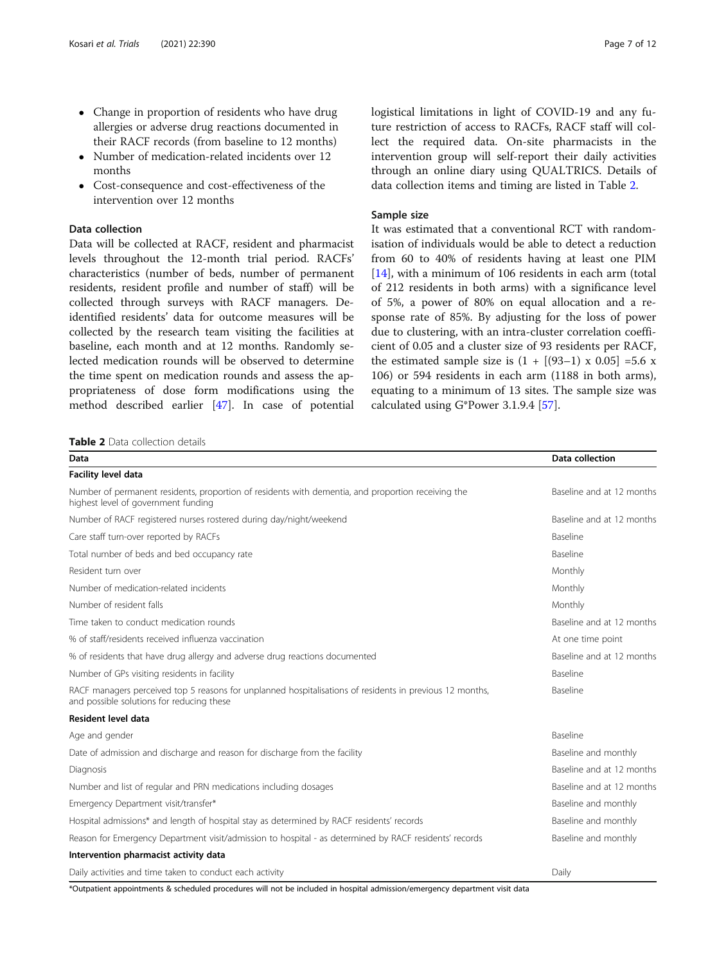- Change in proportion of residents who have drug allergies or adverse drug reactions documented in their RACF records (from baseline to 12 months)
- Number of medication-related incidents over 12 months
- Cost-consequence and cost-effectiveness of the intervention over 12 months

# Data collection

Data will be collected at RACF, resident and pharmacist levels throughout the 12-month trial period. RACFs' characteristics (number of beds, number of permanent residents, resident profile and number of staff) will be collected through surveys with RACF managers. Deidentified residents' data for outcome measures will be collected by the research team visiting the facilities at baseline, each month and at 12 months. Randomly selected medication rounds will be observed to determine the time spent on medication rounds and assess the appropriateness of dose form modifications using the method described earlier [\[47\]](#page-10-0). In case of potential

Table 2 Data collection details

logistical limitations in light of COVID-19 and any future restriction of access to RACFs, RACF staff will collect the required data. On-site pharmacists in the intervention group will self-report their daily activities through an online diary using QUALTRICS. Details of data collection items and timing are listed in Table 2.

#### Sample size

It was estimated that a conventional RCT with randomisation of individuals would be able to detect a reduction from 60 to 40% of residents having at least one PIM [[14\]](#page-10-0), with a minimum of 106 residents in each arm (total of 212 residents in both arms) with a significance level of 5%, a power of 80% on equal allocation and a response rate of 85%. By adjusting for the loss of power due to clustering, with an intra-cluster correlation coefficient of 0.05 and a cluster size of 93 residents per RACF, the estimated sample size is  $(1 + [(93-1) \times 0.05] = 5.6 \times$ 106) or 594 residents in each arm (1188 in both arms), equating to a minimum of 13 sites. The sample size was calculated using G\*Power 3.1.9.4 [[57\]](#page-11-0).

| Data                                                                                                                                                  | Data collection           |
|-------------------------------------------------------------------------------------------------------------------------------------------------------|---------------------------|
| <b>Facility level data</b>                                                                                                                            |                           |
| Number of permanent residents, proportion of residents with dementia, and proportion receiving the<br>highest level of government funding             | Baseline and at 12 months |
| Number of RACF registered nurses rostered during day/night/weekend                                                                                    | Baseline and at 12 months |
| Care staff turn-over reported by RACFs                                                                                                                | <b>Baseline</b>           |
| Total number of beds and bed occupancy rate                                                                                                           | <b>Baseline</b>           |
| Resident turn over                                                                                                                                    | Monthly                   |
| Number of medication-related incidents                                                                                                                | Monthly                   |
| Number of resident falls                                                                                                                              | Monthly                   |
| Time taken to conduct medication rounds                                                                                                               | Baseline and at 12 months |
| % of staff/residents received influenza vaccination                                                                                                   | At one time point         |
| % of residents that have drug allergy and adverse drug reactions documented                                                                           | Baseline and at 12 months |
| Number of GPs visiting residents in facility                                                                                                          | <b>Baseline</b>           |
| RACF managers perceived top 5 reasons for unplanned hospitalisations of residents in previous 12 months,<br>and possible solutions for reducing these | <b>Baseline</b>           |
| Resident level data                                                                                                                                   |                           |
| Age and gender                                                                                                                                        | Baseline                  |
| Date of admission and discharge and reason for discharge from the facility                                                                            | Baseline and monthly      |
| Diagnosis                                                                                                                                             | Baseline and at 12 months |
| Number and list of regular and PRN medications including dosages                                                                                      | Baseline and at 12 months |
| Emergency Department visit/transfer*                                                                                                                  | Baseline and monthly      |
| Hospital admissions* and length of hospital stay as determined by RACF residents' records                                                             | Baseline and monthly      |
| Reason for Emergency Department visit/admission to hospital - as determined by RACF residents' records                                                | Baseline and monthly      |
| Intervention pharmacist activity data                                                                                                                 |                           |
| Daily activities and time taken to conduct each activity                                                                                              | Daily                     |

\*Outpatient appointments & scheduled procedures will not be included in hospital admission/emergency department visit data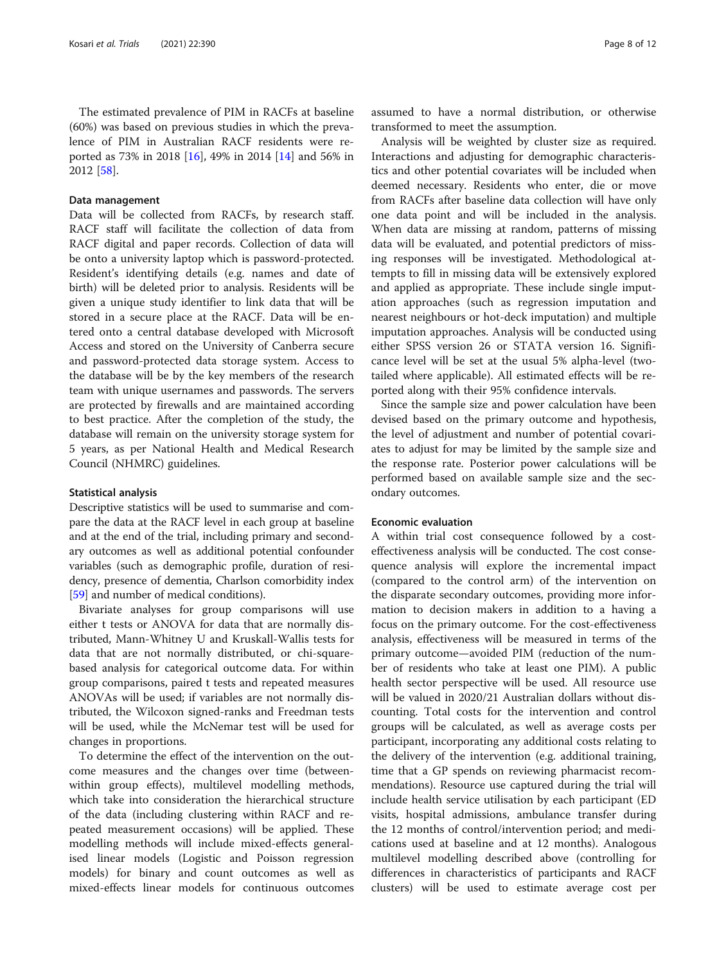### Data management

Data will be collected from RACFs, by research staff. RACF staff will facilitate the collection of data from RACF digital and paper records. Collection of data will be onto a university laptop which is password-protected. Resident's identifying details (e.g. names and date of birth) will be deleted prior to analysis. Residents will be given a unique study identifier to link data that will be stored in a secure place at the RACF. Data will be entered onto a central database developed with Microsoft Access and stored on the University of Canberra secure and password-protected data storage system. Access to the database will be by the key members of the research team with unique usernames and passwords. The servers are protected by firewalls and are maintained according to best practice. After the completion of the study, the database will remain on the university storage system for 5 years, as per National Health and Medical Research Council (NHMRC) guidelines.

#### Statistical analysis

Descriptive statistics will be used to summarise and compare the data at the RACF level in each group at baseline and at the end of the trial, including primary and secondary outcomes as well as additional potential confounder variables (such as demographic profile, duration of residency, presence of dementia, Charlson comorbidity index [[59](#page-11-0)] and number of medical conditions).

Bivariate analyses for group comparisons will use either t tests or ANOVA for data that are normally distributed, Mann-Whitney U and Kruskall-Wallis tests for data that are not normally distributed, or chi-squarebased analysis for categorical outcome data. For within group comparisons, paired t tests and repeated measures ANOVAs will be used; if variables are not normally distributed, the Wilcoxon signed-ranks and Freedman tests will be used, while the McNemar test will be used for changes in proportions.

To determine the effect of the intervention on the outcome measures and the changes over time (betweenwithin group effects), multilevel modelling methods, which take into consideration the hierarchical structure of the data (including clustering within RACF and repeated measurement occasions) will be applied. These modelling methods will include mixed-effects generalised linear models (Logistic and Poisson regression models) for binary and count outcomes as well as mixed-effects linear models for continuous outcomes

assumed to have a normal distribution, or otherwise transformed to meet the assumption.

Analysis will be weighted by cluster size as required. Interactions and adjusting for demographic characteristics and other potential covariates will be included when deemed necessary. Residents who enter, die or move from RACFs after baseline data collection will have only one data point and will be included in the analysis. When data are missing at random, patterns of missing data will be evaluated, and potential predictors of missing responses will be investigated. Methodological attempts to fill in missing data will be extensively explored and applied as appropriate. These include single imputation approaches (such as regression imputation and nearest neighbours or hot-deck imputation) and multiple imputation approaches. Analysis will be conducted using either SPSS version 26 or STATA version 16. Significance level will be set at the usual 5% alpha-level (twotailed where applicable). All estimated effects will be reported along with their 95% confidence intervals.

Since the sample size and power calculation have been devised based on the primary outcome and hypothesis, the level of adjustment and number of potential covariates to adjust for may be limited by the sample size and the response rate. Posterior power calculations will be performed based on available sample size and the secondary outcomes.

#### Economic evaluation

A within trial cost consequence followed by a costeffectiveness analysis will be conducted. The cost consequence analysis will explore the incremental impact (compared to the control arm) of the intervention on the disparate secondary outcomes, providing more information to decision makers in addition to a having a focus on the primary outcome. For the cost-effectiveness analysis, effectiveness will be measured in terms of the primary outcome—avoided PIM (reduction of the number of residents who take at least one PIM). A public health sector perspective will be used. All resource use will be valued in 2020/21 Australian dollars without discounting. Total costs for the intervention and control groups will be calculated, as well as average costs per participant, incorporating any additional costs relating to the delivery of the intervention (e.g. additional training, time that a GP spends on reviewing pharmacist recommendations). Resource use captured during the trial will include health service utilisation by each participant (ED visits, hospital admissions, ambulance transfer during the 12 months of control/intervention period; and medications used at baseline and at 12 months). Analogous multilevel modelling described above (controlling for differences in characteristics of participants and RACF clusters) will be used to estimate average cost per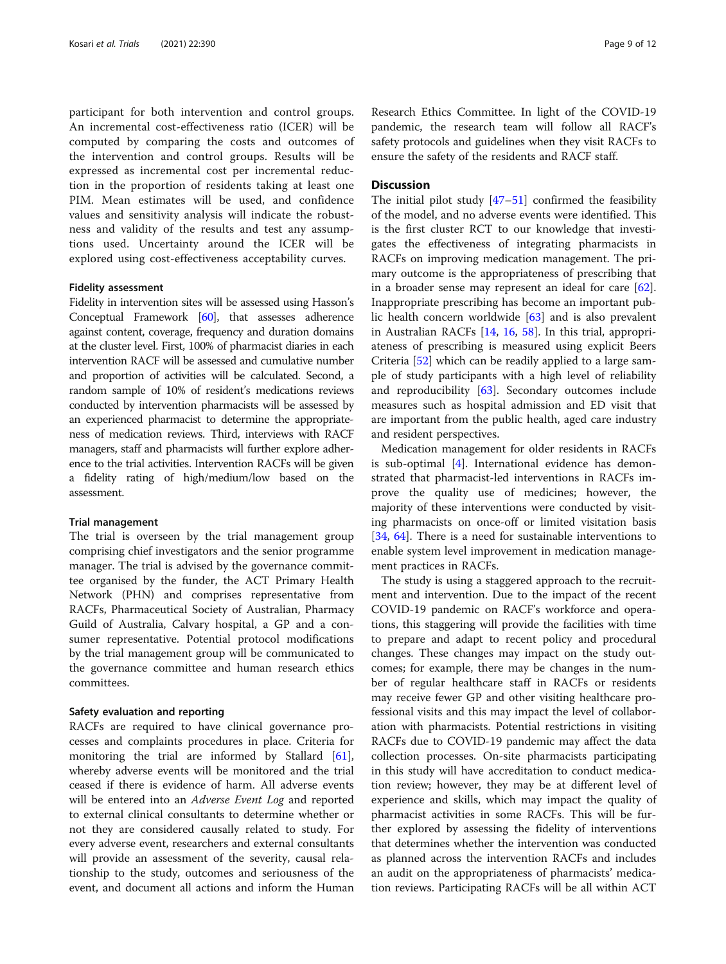participant for both intervention and control groups. An incremental cost-effectiveness ratio (ICER) will be computed by comparing the costs and outcomes of the intervention and control groups. Results will be expressed as incremental cost per incremental reduction in the proportion of residents taking at least one PIM. Mean estimates will be used, and confidence values and sensitivity analysis will indicate the robustness and validity of the results and test any assumptions used. Uncertainty around the ICER will be explored using cost-effectiveness acceptability curves.

#### Fidelity assessment

Fidelity in intervention sites will be assessed using Hasson's Conceptual Framework [\[60\]](#page-11-0), that assesses adherence against content, coverage, frequency and duration domains at the cluster level. First, 100% of pharmacist diaries in each intervention RACF will be assessed and cumulative number and proportion of activities will be calculated. Second, a random sample of 10% of resident's medications reviews conducted by intervention pharmacists will be assessed by an experienced pharmacist to determine the appropriateness of medication reviews. Third, interviews with RACF managers, staff and pharmacists will further explore adherence to the trial activities. Intervention RACFs will be given a fidelity rating of high/medium/low based on the assessment.

#### Trial management

The trial is overseen by the trial management group comprising chief investigators and the senior programme manager. The trial is advised by the governance committee organised by the funder, the ACT Primary Health Network (PHN) and comprises representative from RACFs, Pharmaceutical Society of Australian, Pharmacy Guild of Australia, Calvary hospital, a GP and a consumer representative. Potential protocol modifications by the trial management group will be communicated to the governance committee and human research ethics committees.

#### Safety evaluation and reporting

RACFs are required to have clinical governance processes and complaints procedures in place. Criteria for monitoring the trial are informed by Stallard [\[61](#page-11-0)], whereby adverse events will be monitored and the trial ceased if there is evidence of harm. All adverse events will be entered into an *Adverse Event Log* and reported to external clinical consultants to determine whether or not they are considered causally related to study. For every adverse event, researchers and external consultants will provide an assessment of the severity, causal relationship to the study, outcomes and seriousness of the event, and document all actions and inform the Human

Research Ethics Committee. In light of the COVID-19 pandemic, the research team will follow all RACF's safety protocols and guidelines when they visit RACFs to ensure the safety of the residents and RACF staff.

## **Discussion**

The initial pilot study [\[47](#page-10-0)–[51\]](#page-11-0) confirmed the feasibility of the model, and no adverse events were identified. This is the first cluster RCT to our knowledge that investigates the effectiveness of integrating pharmacists in RACFs on improving medication management. The primary outcome is the appropriateness of prescribing that in a broader sense may represent an ideal for care  $[62]$  $[62]$ . Inappropriate prescribing has become an important public health concern worldwide [\[63](#page-11-0)] and is also prevalent in Australian RACFs [\[14](#page-10-0), [16,](#page-10-0) [58](#page-11-0)]. In this trial, appropriateness of prescribing is measured using explicit Beers Criteria [[52\]](#page-11-0) which can be readily applied to a large sample of study participants with a high level of reliability and reproducibility [[63](#page-11-0)]. Secondary outcomes include measures such as hospital admission and ED visit that are important from the public health, aged care industry and resident perspectives.

Medication management for older residents in RACFs is sub-optimal [[4\]](#page-9-0). International evidence has demonstrated that pharmacist-led interventions in RACFs improve the quality use of medicines; however, the majority of these interventions were conducted by visiting pharmacists on once-off or limited visitation basis [[34,](#page-10-0) [64](#page-11-0)]. There is a need for sustainable interventions to enable system level improvement in medication management practices in RACFs.

The study is using a staggered approach to the recruitment and intervention. Due to the impact of the recent COVID-19 pandemic on RACF's workforce and operations, this staggering will provide the facilities with time to prepare and adapt to recent policy and procedural changes. These changes may impact on the study outcomes; for example, there may be changes in the number of regular healthcare staff in RACFs or residents may receive fewer GP and other visiting healthcare professional visits and this may impact the level of collaboration with pharmacists. Potential restrictions in visiting RACFs due to COVID-19 pandemic may affect the data collection processes. On-site pharmacists participating in this study will have accreditation to conduct medication review; however, they may be at different level of experience and skills, which may impact the quality of pharmacist activities in some RACFs. This will be further explored by assessing the fidelity of interventions that determines whether the intervention was conducted as planned across the intervention RACFs and includes an audit on the appropriateness of pharmacists' medication reviews. Participating RACFs will be all within ACT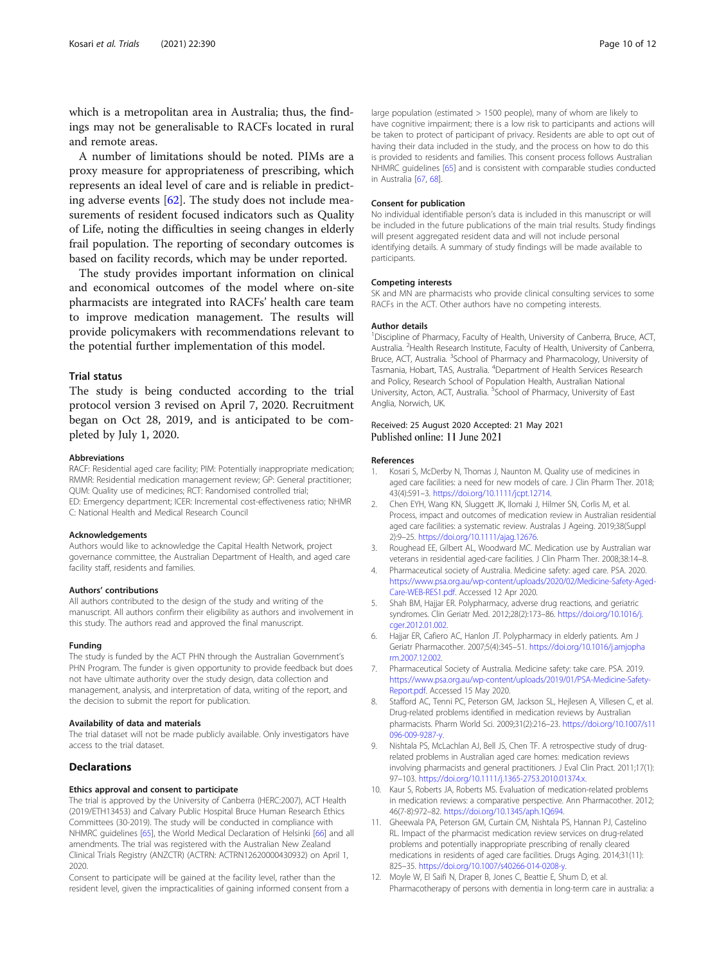<span id="page-9-0"></span>which is a metropolitan area in Australia; thus, the findings may not be generalisable to RACFs located in rural and remote areas.

A number of limitations should be noted. PIMs are a proxy measure for appropriateness of prescribing, which represents an ideal level of care and is reliable in predicting adverse events [\[62](#page-11-0)]. The study does not include measurements of resident focused indicators such as Quality of Life, noting the difficulties in seeing changes in elderly frail population. The reporting of secondary outcomes is based on facility records, which may be under reported.

The study provides important information on clinical and economical outcomes of the model where on-site pharmacists are integrated into RACFs' health care team to improve medication management. The results will provide policymakers with recommendations relevant to the potential further implementation of this model.

#### Trial status

The study is being conducted according to the trial protocol version 3 revised on April 7, 2020. Recruitment began on Oct 28, 2019, and is anticipated to be completed by July 1, 2020.

#### Abbreviations

RACF: Residential aged care facility; PIM: Potentially inappropriate medication; RMMR: Residential medication management review; GP: General practitioner; QUM: Quality use of medicines; RCT: Randomised controlled trial; ED: Emergency department; ICER: Incremental cost-effectiveness ratio; NHMR C: National Health and Medical Research Council

#### Acknowledgements

Authors would like to acknowledge the Capital Health Network, project governance committee, the Australian Department of Health, and aged care facility staff, residents and families.

#### Authors' contributions

All authors contributed to the design of the study and writing of the manuscript. All authors confirm their eligibility as authors and involvement in this study. The authors read and approved the final manuscript.

#### Funding

The study is funded by the ACT PHN through the Australian Government's PHN Program. The funder is given opportunity to provide feedback but does not have ultimate authority over the study design, data collection and management, analysis, and interpretation of data, writing of the report, and the decision to submit the report for publication.

#### Availability of data and materials

The trial dataset will not be made publicly available. Only investigators have access to the trial dataset.

#### **Declarations**

#### Ethics approval and consent to participate

The trial is approved by the University of Canberra (HERC:2007), ACT Health (2019/ETH13453) and Calvary Public Hospital Bruce Human Research Ethics Committees (30-2019). The study will be conducted in compliance with NHMRC guidelines [\[65](#page-11-0)], the World Medical Declaration of Helsinki [[66](#page-11-0)] and all amendments. The trial was registered with the Australian New Zealand Clinical Trials Registry (ANZCTR) (ACTRN: ACTRN12620000430932) on April 1, 2020.

Consent to participate will be gained at the facility level, rather than the resident level, given the impracticalities of gaining informed consent from a

large population (estimated > 1500 people), many of whom are likely to have cognitive impairment; there is a low risk to participants and actions will be taken to protect of participant of privacy. Residents are able to opt out of having their data included in the study, and the process on how to do this is provided to residents and families. This consent process follows Australian NHMRC guidelines [\[65](#page-11-0)] and is consistent with comparable studies conducted in Australia [\[67](#page-11-0), [68\]](#page-11-0).

#### Consent for publication

No individual identifiable person's data is included in this manuscript or will be included in the future publications of the main trial results. Study findings will present aggregated resident data and will not include personal identifying details. A summary of study findings will be made available to participants.

#### Competing interests

SK and MN are pharmacists who provide clinical consulting services to some RACFs in the ACT. Other authors have no competing interests.

#### Author details

<sup>1</sup> Discipline of Pharmacy, Faculty of Health, University of Canberra, Bruce, ACT Australia. <sup>2</sup> Health Research Institute, Faculty of Health, University of Canberra, Bruce, ACT, Australia. <sup>3</sup>School of Pharmacy and Pharmacology, University of Tasmania, Hobart, TAS, Australia. <sup>4</sup> Department of Health Services Research and Policy, Research School of Population Health, Australian National University, Acton, ACT, Australia. <sup>5</sup>School of Pharmacy, University of East Anglia, Norwich, UK.

# Received: 25 August 2020 Accepted: 21 May 2021<br>Published online: 11 June 2021

#### References

- 1. Kosari S, McDerby N, Thomas J, Naunton M. Quality use of medicines in aged care facilities: a need for new models of care. J Clin Pharm Ther. 2018; 43(4):591–3. <https://doi.org/10.1111/jcpt.12714>.
- 2. Chen EYH, Wang KN, Sluggett JK, Ilomaki J, Hilmer SN, Corlis M, et al. Process, impact and outcomes of medication review in Australian residential aged care facilities: a systematic review. Australas J Ageing. 2019;38(Suppl 2):9–25. [https://doi.org/10.1111/ajag.12676.](https://doi.org/10.1111/ajag.12676)
- 3. Roughead EE, Gilbert AL, Woodward MC. Medication use by Australian war veterans in residential aged-care facilities. J Clin Pharm Ther. 2008;38:14–8.
- 4. Pharmaceutical society of Australia. Medicine safety: aged care. PSA. 2020. [https://www.psa.org.au/wp-content/uploads/2020/02/Medicine-Safety-Aged-](https://www.psa.org.au/wp-content/uploads/2020/02/Medicine-Safety-Aged-Care-WEB-RES1.pdf)[Care-WEB-RES1.pdf](https://www.psa.org.au/wp-content/uploads/2020/02/Medicine-Safety-Aged-Care-WEB-RES1.pdf). Accessed 12 Apr 2020.
- 5. Shah BM, Hajjar ER. Polypharmacy, adverse drug reactions, and geriatric syndromes. Clin Geriatr Med. 2012;28(2):173–86. [https://doi.org/10.1016/j.](https://doi.org/10.1016/j.cger.2012.01.002) [cger.2012.01.002](https://doi.org/10.1016/j.cger.2012.01.002).
- 6. Hajjar ER, Cafiero AC, Hanlon JT. Polypharmacy in elderly patients. Am J Geriatr Pharmacother. 2007;5(4):345–51. [https://doi.org/10.1016/j.amjopha](https://doi.org/10.1016/j.amjopharm.2007.12.002) [rm.2007.12.002.](https://doi.org/10.1016/j.amjopharm.2007.12.002)
- 7. Pharmaceutical Society of Australia. Medicine safety: take care. PSA. 2019. [https://www.psa.org.au/wp-content/uploads/2019/01/PSA-Medicine-Safety-](https://www.psa.org.au/wp-content/uploads/2019/01/PSA-Medicine-Safety-Report.pdf)[Report.pdf](https://www.psa.org.au/wp-content/uploads/2019/01/PSA-Medicine-Safety-Report.pdf). Accessed 15 May 2020.
- 8. Stafford AC, Tenni PC, Peterson GM, Jackson SL, Hejlesen A, Villesen C, et al. Drug-related problems identified in medication reviews by Australian pharmacists. Pharm World Sci. 2009;31(2):216–23. [https://doi.org/10.1007/s11](https://doi.org/10.1007/s11096-009-9287-y) [096-009-9287-y](https://doi.org/10.1007/s11096-009-9287-y).
- 9. Nishtala PS, McLachlan AJ, Bell JS, Chen TF. A retrospective study of drugrelated problems in Australian aged care homes: medication reviews involving pharmacists and general practitioners. J Eval Clin Pract. 2011;17(1): 97–103. <https://doi.org/10.1111/j.1365-2753.2010.01374.x>.
- 10. Kaur S, Roberts JA, Roberts MS. Evaluation of medication-related problems in medication reviews: a comparative perspective. Ann Pharmacother. 2012; 46(7-8):972–82. [https://doi.org/10.1345/aph.1Q694.](https://doi.org/10.1345/aph.1Q694)
- 11. Gheewala PA, Peterson GM, Curtain CM, Nishtala PS, Hannan PJ, Castelino RL. Impact of the pharmacist medication review services on drug-related problems and potentially inappropriate prescribing of renally cleared medications in residents of aged care facilities. Drugs Aging. 2014;31(11): 825–35. [https://doi.org/10.1007/s40266-014-0208-y.](https://doi.org/10.1007/s40266-014-0208-y)
- 12. Moyle W, El Saifi N, Draper B, Jones C, Beattie E, Shum D, et al. Pharmacotherapy of persons with dementia in long-term care in australia: a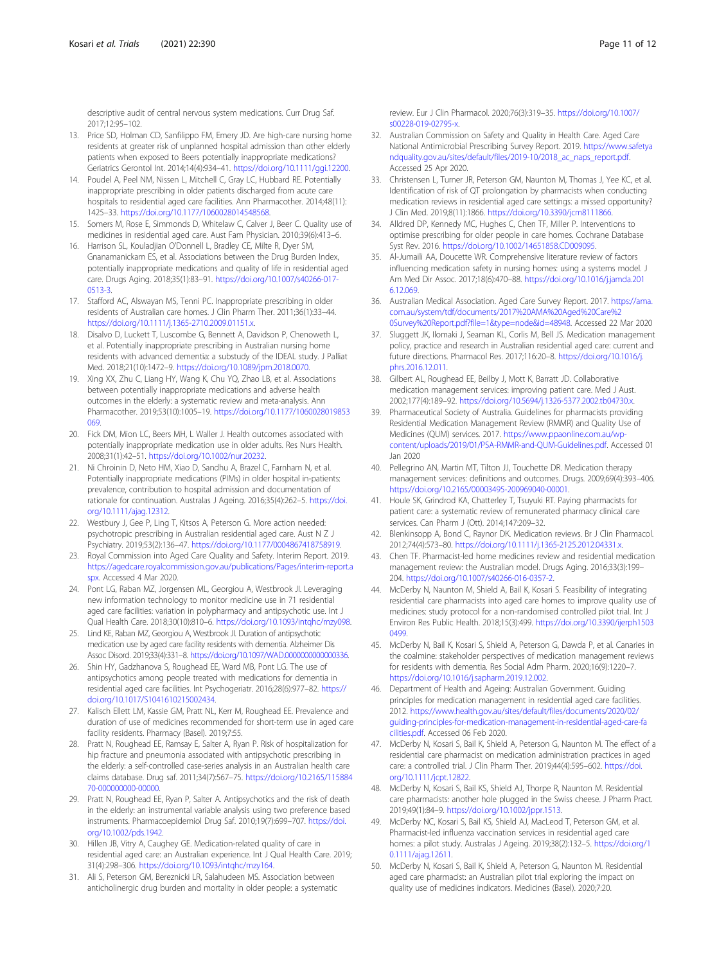<span id="page-10-0"></span>descriptive audit of central nervous system medications. Curr Drug Saf. 2017;12:95–102.

- 13. Price SD, Holman CD, Sanfilippo FM, Emery JD. Are high-care nursing home residents at greater risk of unplanned hospital admission than other elderly patients when exposed to Beers potentially inappropriate medications? Geriatrics Gerontol Int. 2014;14(4):934–41. <https://doi.org/10.1111/ggi.12200>.
- 14. Poudel A, Peel NM, Nissen L, Mitchell C, Gray LC, Hubbard RE. Potentially inappropriate prescribing in older patients discharged from acute care hospitals to residential aged care facilities. Ann Pharmacother. 2014;48(11): 1425–33. [https://doi.org/10.1177/1060028014548568.](https://doi.org/10.1177/1060028014548568)
- 15. Somers M, Rose E, Simmonds D, Whitelaw C, Calver J, Beer C. Quality use of medicines in residential aged care. Aust Fam Physician. 2010;39(6):413–6.
- 16. Harrison SL, Kouladjian O'Donnell L, Bradley CE, Milte R, Dyer SM, Gnanamanickam ES, et al. Associations between the Drug Burden Index, potentially inappropriate medications and quality of life in residential aged care. Drugs Aging. 2018;35(1):83–91. [https://doi.org/10.1007/s40266-017-](https://doi.org/10.1007/s40266-017-0513-3) [0513-3.](https://doi.org/10.1007/s40266-017-0513-3)
- 17. Stafford AC, Alswayan MS, Tenni PC. Inappropriate prescribing in older residents of Australian care homes. J Clin Pharm Ther. 2011;36(1):33–44. <https://doi.org/10.1111/j.1365-2710.2009.01151.x>.
- 18. Disalvo D, Luckett T, Luscombe G, Bennett A, Davidson P, Chenoweth L, et al. Potentially inappropriate prescribing in Australian nursing home residents with advanced dementia: a substudy of the IDEAL study. J Palliat Med. 2018;21(10):1472–9. <https://doi.org/10.1089/jpm.2018.0070>.
- 19. Xing XX, Zhu C, Liang HY, Wang K, Chu YQ, Zhao LB, et al. Associations between potentially inappropriate medications and adverse health outcomes in the elderly: a systematic review and meta-analysis. Ann Pharmacother. 2019;53(10):1005–19. [https://doi.org/10.1177/1060028019853](https://doi.org/10.1177/1060028019853069) [069.](https://doi.org/10.1177/1060028019853069)
- 20. Fick DM, Mion LC, Beers MH, L Waller J. Health outcomes associated with potentially inappropriate medication use in older adults. Res Nurs Health. 2008;31(1):42–51. <https://doi.org/10.1002/nur.20232>.
- 21. Ni Chroinin D, Neto HM, Xiao D, Sandhu A, Brazel C, Farnham N, et al. Potentially inappropriate medications (PIMs) in older hospital in-patients: prevalence, contribution to hospital admission and documentation of rationale for continuation. Australas J Ageing. 2016;35(4):262–5. [https://doi.](https://doi.org/10.1111/ajag.12312) [org/10.1111/ajag.12312.](https://doi.org/10.1111/ajag.12312)
- 22. Westbury J, Gee P, Ling T, Kitsos A, Peterson G. More action needed: psychotropic prescribing in Australian residential aged care. Aust N Z J Psychiatry. 2019;53(2):136–47. [https://doi.org/10.1177/0004867418758919.](https://doi.org/10.1177/0004867418758919)
- 23. Royal Commission into Aged Care Quality and Safety. Interim Report. 2019. [https://agedcare.royalcommission.gov.au/publications/Pages/interim-report.a](https://agedcare.royalcommission.gov.au/publications/Pages/interim-report.aspx) [spx](https://agedcare.royalcommission.gov.au/publications/Pages/interim-report.aspx). Accessed 4 Mar 2020.
- 24. Pont LG, Raban MZ, Jorgensen ML, Georgiou A, Westbrook JI. Leveraging new information technology to monitor medicine use in 71 residential aged care facilities: variation in polypharmacy and antipsychotic use. Int J Qual Health Care. 2018;30(10):810–6. <https://doi.org/10.1093/intqhc/mzy098>.
- 25. Lind KE, Raban MZ, Georgiou A, Westbrook JI. Duration of antipsychotic medication use by aged care facility residents with dementia. Alzheimer Dis Assoc Disord. 2019;33(4):331–8. <https://doi.org/10.1097/WAD.0000000000000336>.
- 26. Shin HY, Gadzhanova S, Roughead EE, Ward MB, Pont LG. The use of antipsychotics among people treated with medications for dementia in residential aged care facilities. Int Psychogeriatr. 2016;28(6):977–82. [https://](https://doi.org/10.1017/S1041610215002434) [doi.org/10.1017/S1041610215002434](https://doi.org/10.1017/S1041610215002434).
- 27. Kalisch Ellett LM, Kassie GM, Pratt NL, Kerr M, Roughead EE. Prevalence and duration of use of medicines recommended for short-term use in aged care facility residents. Pharmacy (Basel). 2019;7:55.
- 28. Pratt N, Roughead EE, Ramsay E, Salter A, Ryan P. Risk of hospitalization for hip fracture and pneumonia associated with antipsychotic prescribing in the elderly: a self-controlled case-series analysis in an Australian health care claims database. Drug saf. 2011;34(7):567–75. [https://doi.org/10.2165/115884](https://doi.org/10.2165/11588470-000000000-00000) [70-000000000-00000](https://doi.org/10.2165/11588470-000000000-00000).
- 29. Pratt N, Roughead EE, Ryan P, Salter A. Antipsychotics and the risk of death in the elderly: an instrumental variable analysis using two preference based instruments. Pharmacoepidemiol Drug Saf. 2010;19(7):699–707. [https://doi.](https://doi.org/10.1002/pds.1942) [org/10.1002/pds.1942](https://doi.org/10.1002/pds.1942).
- 30. Hillen JB, Vitry A, Caughey GE. Medication-related quality of care in residential aged care: an Australian experience. Int J Qual Health Care. 2019; 31(4):298–306. [https://doi.org/10.1093/intqhc/mzy164.](https://doi.org/10.1093/intqhc/mzy164)
- 31. Ali S, Peterson GM, Bereznicki LR, Salahudeen MS. Association between anticholinergic drug burden and mortality in older people: a systematic

review. Eur J Clin Pharmacol. 2020;76(3):319–35. [https://doi.org/10.1007/](https://doi.org/10.1007/s00228-019-02795-x) [s00228-019-02795-x.](https://doi.org/10.1007/s00228-019-02795-x)

- 32. Australian Commission on Safety and Quality in Health Care. Aged Care National Antimicrobial Prescribing Survey Report. 2019. [https://www.safetya](https://www.safetyandquality.gov.au/sites/default/files/2019-10/2018_ac_naps_report.pdf) [ndquality.gov.au/sites/default/files/2019-10/2018\\_ac\\_naps\\_report.pdf](https://www.safetyandquality.gov.au/sites/default/files/2019-10/2018_ac_naps_report.pdf). Accessed 25 Apr 2020.
- 33. Christensen L, Turner JR, Peterson GM, Naunton M, Thomas J, Yee KC, et al. Identification of risk of QT prolongation by pharmacists when conducting medication reviews in residential aged care settings: a missed opportunity? J Clin Med. 2019;8(11):1866. [https://doi.org/10.3390/jcm8111866.](https://doi.org/10.3390/jcm8111866)
- 34. Alldred DP, Kennedy MC, Hughes C, Chen TF, Miller P. Interventions to optimise prescribing for older people in care homes. Cochrane Database Syst Rev. 2016. <https://doi.org/10.1002/14651858.CD009095>.
- 35. Al-Jumaili AA, Doucette WR. Comprehensive literature review of factors influencing medication safety in nursing homes: using a systems model. J Am Med Dir Assoc. 2017;18(6):470–88. [https://doi.org/10.1016/j.jamda.201](https://doi.org/10.1016/j.jamda.2016.12.069) [6.12.069.](https://doi.org/10.1016/j.jamda.2016.12.069)
- 36. Australian Medical Association. Aged Care Survey Report. 2017. [https://ama.](https://ama.com.au/system/tdf/documents/2017%20AMA%20Aged%20Care%20Survey%20Report.pdf?file=1&type=node&id=48948) [com.au/system/tdf/documents/2017%20AMA%20Aged%20Care%2](https://ama.com.au/system/tdf/documents/2017%20AMA%20Aged%20Care%20Survey%20Report.pdf?file=1&type=node&id=48948) [0Survey%20Report.pdf?file=1&type=node&id=48948](https://ama.com.au/system/tdf/documents/2017%20AMA%20Aged%20Care%20Survey%20Report.pdf?file=1&type=node&id=48948). Accessed 22 Mar 2020
- 37. Sluggett JK, Ilomaki J, Seaman KL, Corlis M, Bell JS. Medication management policy, practice and research in Australian residential aged care: current and future directions. Pharmacol Res. 2017;116:20–8. [https://doi.org/10.1016/j.](https://doi.org/10.1016/j.phrs.2016.12.011) [phrs.2016.12.011](https://doi.org/10.1016/j.phrs.2016.12.011).
- 38. Gilbert AL, Roughead EE, Beilby J, Mott K, Barratt JD. Collaborative medication management services: improving patient care. Med J Aust. 2002;177(4):189–92. [https://doi.org/10.5694/j.1326-5377.2002.tb04730.x.](https://doi.org/10.5694/j.1326-5377.2002.tb04730.x)
- 39. Pharmaceutical Society of Australia. Guidelines for pharmacists providing Residential Medication Management Review (RMMR) and Quality Use of Medicines (QUM) services. 2017. [https://www.ppaonline.com.au/wp](https://www.ppaonline.com.au/wp-content/uploads/2019/01/PSA-RMMR-and-QUM-Guidelines.pdf)[content/uploads/2019/01/PSA-RMMR-and-QUM-Guidelines.pdf.](https://www.ppaonline.com.au/wp-content/uploads/2019/01/PSA-RMMR-and-QUM-Guidelines.pdf) Accessed 01 Jan 2020
- 40. Pellegrino AN, Martin MT, Tilton JJ, Touchette DR. Medication therapy management services: definitions and outcomes. Drugs. 2009;69(4):393–406. <https://doi.org/10.2165/00003495-200969040-00001>.
- 41. Houle SK, Grindrod KA, Chatterley T, Tsuyuki RT. Paying pharmacists for patient care: a systematic review of remunerated pharmacy clinical care services. Can Pharm J (Ott). 2014;147:209–32.
- 42. Blenkinsopp A, Bond C, Raynor DK. Medication reviews. Br J Clin Pharmacol. 2012;74(4):573–80. <https://doi.org/10.1111/j.1365-2125.2012.04331.x>.
- 43. Chen TF. Pharmacist-led home medicines review and residential medication management review: the Australian model. Drugs Aging. 2016;33(3):199– 204. [https://doi.org/10.1007/s40266-016-0357-2.](https://doi.org/10.1007/s40266-016-0357-2)
- 44. McDerby N, Naunton M, Shield A, Bail K, Kosari S. Feasibility of integrating residential care pharmacists into aged care homes to improve quality use of medicines: study protocol for a non-randomised controlled pilot trial. Int J Environ Res Public Health. 2018;15(3):499. [https://doi.org/10.3390/ijerph1503](https://doi.org/10.3390/ijerph15030499) [0499](https://doi.org/10.3390/ijerph15030499).
- 45. McDerby N, Bail K, Kosari S, Shield A, Peterson G, Dawda P, et al. Canaries in the coalmine: stakeholder perspectives of medication management reviews for residents with dementia. Res Social Adm Pharm. 2020;16(9):1220–7. <https://doi.org/10.1016/j.sapharm.2019.12.002>.
- 46. Department of Health and Ageing: Australian Government. Guiding principles for medication management in residential aged care facilities. 2012. [https://www.health.gov.au/sites/default/files/documents/2020/02/](https://www.health.gov.au/sites/default/files/documents/2020/02/guiding-principles-for-medication-management-in-residential-aged-care-facilities.pdf) [guiding-principles-for-medication-management-in-residential-aged-care-fa](https://www.health.gov.au/sites/default/files/documents/2020/02/guiding-principles-for-medication-management-in-residential-aged-care-facilities.pdf) [cilities.pdf.](https://www.health.gov.au/sites/default/files/documents/2020/02/guiding-principles-for-medication-management-in-residential-aged-care-facilities.pdf) Accessed 06 Feb 2020.
- 47. McDerby N, Kosari S, Bail K, Shield A, Peterson G, Naunton M. The effect of a residential care pharmacist on medication administration practices in aged care: a controlled trial. J Clin Pharm Ther. 2019;44(4):595–602. [https://doi.](https://doi.org/10.1111/jcpt.12822) [org/10.1111/jcpt.12822.](https://doi.org/10.1111/jcpt.12822)
- 48. McDerby N, Kosari S, Bail KS, Shield AJ, Thorpe R, Naunton M. Residential care pharmacists: another hole plugged in the Swiss cheese. J Pharm Pract. 2019;49(1):84–9. <https://doi.org/10.1002/jppr.1513>.
- 49. McDerby NC, Kosari S, Bail KS, Shield AJ, MacLeod T, Peterson GM, et al. Pharmacist-led influenza vaccination services in residential aged care homes: a pilot study. Australas J Ageing. 2019;38(2):132–5. [https://doi.org/1](https://doi.org/10.1111/ajag.12611) [0.1111/ajag.12611](https://doi.org/10.1111/ajag.12611).
- 50. McDerby N, Kosari S, Bail K, Shield A, Peterson G, Naunton M. Residential aged care pharmacist: an Australian pilot trial exploring the impact on quality use of medicines indicators. Medicines (Basel). 2020;7:20.